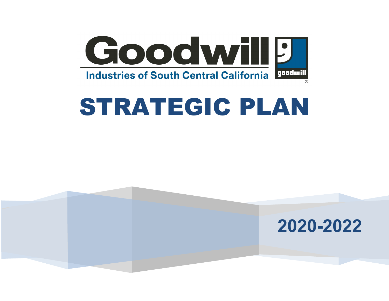

# STRATEGIC PLAN

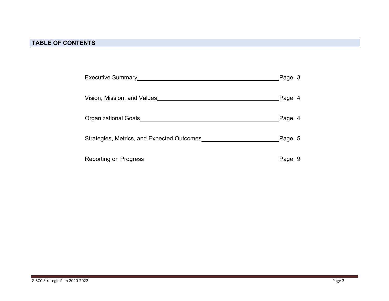| Executive Summary                          | Page 3  |  |
|--------------------------------------------|---------|--|
| Vision, Mission, and Values                | Page 4  |  |
| Organizational Goals                       | Page 4  |  |
| Strategies, Metrics, and Expected Outcomes | Page 5_ |  |
| Reporting on Progress                      | Page 9  |  |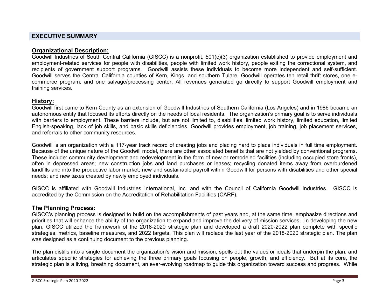# **EXECUTIVE SUMMARY**

#### **Organizational Description:**

Goodwill Industries of South Central California (GISCC) is a nonprofit, 501(c)(3) organization established to provide employment and employment-related services for people with disabilities, people with limited work history, people exiting the correctional system, and recipients of government support programs. Goodwill assists these individuals to become more independent and self-sufficient. Goodwill serves the Central California counties of Kern, Kings, and southern Tulare. Goodwill operates ten retail thrift stores, one ecommerce program, and one salvage/processing center. All revenues generated go directly to support Goodwill employment and training services.

## **History:**

Goodwill first came to Kern County as an extension of Goodwill Industries of Southern California (Los Angeles) and in 1986 became an autonomous entity that focused its efforts directly on the needs of local residents. The organization's primary goal is to serve individuals with barriers to employment. These barriers include, but are not limited to, disabilities, limited work history, limited education, limited English-speaking, lack of job skills, and basic skills deficiencies. Goodwill provides employment, job training, job placement services, and referrals to other community resources.

Goodwill is an organization with a 117-year track record of creating jobs and placing hard to place individuals in full time employment. Because of the unique nature of the Goodwill model, there are other associated benefits that are not yielded by conventional programs. These include: community development and redevelopment in the form of new or remodeled facilities (including occupied store fronts), often in depressed areas; new construction jobs and land purchases or leases; recycling donated items away from overburdened landfills and into the productive labor market; new and sustainable payroll within Goodwill for persons with disabilities and other special needs; and new taxes created by newly employed individuals.

GISCC is affiliated with Goodwill Industries International, Inc. and with the Council of California Goodwill Industries. GISCC is accredited by the Commission on the Accreditation of Rehabilitation Facilities (CARF).

## **The Planning Process:**

GISCC's planning process is designed to build on the accomplishments of past years and, at the same time, emphasize directions and priorities that will enhance the ability of the organization to expand and improve the delivery of mission services. In developing the new plan, GISCC utilized the framework of the 2018-2020 strategic plan and developed a draft 2020-2022 plan complete with specific strategies, metrics, baseline measures, and 2022 targets. This plan will replace the last year of the 2018-2020 strategic plan. The plan was designed as a continuing document to the previous planning.

The plan distills into a single document the organization's vision and mission, spells out the values or ideals that underpin the plan, and articulates specific strategies for achieving the three primary goals focusing on people, growth, and efficiency. But at its core, the strategic plan is a living, breathing document, an ever-evolving roadmap to guide this organization toward success and progress. While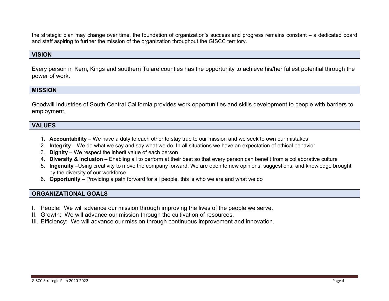the strategic plan may change over time, the foundation of organization's success and progress remains constant – a dedicated board and staff aspiring to further the mission of the organization throughout the GISCC territory.

#### **VISION**

Every person in Kern, Kings and southern Tulare counties has the opportunity to achieve his/her fullest potential through the power of work.

#### **MISSION**

Goodwill Industries of South Central California provides work opportunities and skills development to people with barriers to employment.

#### **VALUES**

- 1. **Accountability** We have a duty to each other to stay true to our mission and we seek to own our mistakes
- 2. **Integrity** We do what we say and say what we do. In all situations we have an expectation of ethical behavior
- 3. **Dignity** We respect the inherit value of each person
- 4. **Diversity & Inclusion** Enabling all to perform at their best so that every person can benefit from a collaborative culture
- 5. **Ingenuity** –Using creativity to move the company forward. We are open to new opinions, suggestions, and knowledge brought by the diversity of our workforce
- 6. **Opportunity** Providing a path forward for all people, this is who we are and what we do

## **ORGANIZATIONAL GOALS**

- I. People: We will advance our mission through improving the lives of the people we serve.
- II. Growth: We will advance our mission through the cultivation of resources.
- III. Efficiency: We will advance our mission through continuous improvement and innovation.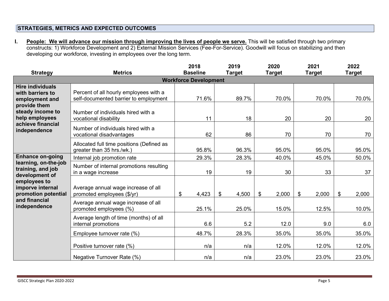#### **STRATEGIES, METRICS AND EXPECTED OUTCOMES**

**I.** People: We will advance our mission through improving the lives of people we serve. This will be satisfied through two primary constructs: 1) Workforce Development and 2) External Mission Services (Fee-For-Service). Goodwill will focus on stabilizing and then developing our workforce, investing in employees over the long term.

| <b>Strategy</b>                                                                                                                                                                    | <b>Metrics</b>                                                                  | 2018<br><b>Baseline</b> | 2019<br>Target | 2020<br><b>Target</b> | 2021<br><b>Target</b>              | 2022<br><b>Target</b> |  |
|------------------------------------------------------------------------------------------------------------------------------------------------------------------------------------|---------------------------------------------------------------------------------|-------------------------|----------------|-----------------------|------------------------------------|-----------------------|--|
| <b>Workforce Development</b>                                                                                                                                                       |                                                                                 |                         |                |                       |                                    |                       |  |
| <b>Hire individuals</b><br>with barriers to<br>employment and<br>provide them<br>steady income to<br>help employees<br>achieve financial<br>independence                           | Percent of all hourly employees with a<br>self-documented barrier to employment | 71.6%                   | 89.7%          | 70.0%                 | 70.0%                              | 70.0%                 |  |
|                                                                                                                                                                                    | Number of individuals hired with a<br>vocational disability                     | 11                      | 18             | 20                    | 20                                 | 20                    |  |
|                                                                                                                                                                                    | Number of individuals hired with a<br>vocational disadvantages                  | 62                      | 86             | 70                    | 70                                 | 70                    |  |
|                                                                                                                                                                                    | Allocated full time positions (Defined as<br>greater than 35 hrs./wk.)          | 95.8%                   | 96.3%          | 95.0%                 | 95.0%                              | 95.0%                 |  |
| <b>Enhance on-going</b><br>learning, on-the-job<br>training, and job<br>development of<br>employees to<br>imporve internal<br>promotion potential<br>and financial<br>independence | Internal job promotion rate                                                     | 29.3%                   | 28.3%          | 40.0%                 | 45.0%                              | 50.0%                 |  |
|                                                                                                                                                                                    | Number of internal promotions resulting<br>in a wage increase                   | 19                      | 19             | 30                    | 33                                 | 37                    |  |
|                                                                                                                                                                                    | Average annual wage increase of all<br>promoted employees (\$/yr)               | 4,423<br>\$             | 4,500<br>\$    | 2,000<br>\$           | $\boldsymbol{\mathsf{S}}$<br>2,000 | \$<br>2,000           |  |
|                                                                                                                                                                                    | Average annual wage increase of all<br>promoted employees (%)                   | 25.1%                   | 25.0%          | 15.0%                 | 12.5%                              | 10.0%                 |  |
|                                                                                                                                                                                    | Average length of time (months) of all<br>internal promotions                   | 6.6                     | 5.2            | 12.0                  | 9.0                                | 6.0                   |  |
|                                                                                                                                                                                    | Employee turnover rate (%)                                                      | 48.7%                   | 28.3%          | 35.0%                 | 35.0%                              | 35.0%                 |  |
|                                                                                                                                                                                    | Positive turnover rate (%)                                                      | n/a                     | n/a            | 12.0%                 | 12.0%                              | 12.0%                 |  |
|                                                                                                                                                                                    | Negative Turnover Rate (%)                                                      | n/a                     | n/a            | 23.0%                 | 23.0%                              | 23.0%                 |  |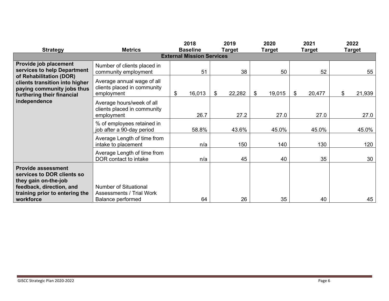| 2022<br>Target                                                                                                         |  |  |  |  |  |  |
|------------------------------------------------------------------------------------------------------------------------|--|--|--|--|--|--|
| <b>Metrics</b><br><b>Baseline</b><br><b>Strategy</b><br>Target<br>Target<br>Target<br><b>External Mission Services</b> |  |  |  |  |  |  |
| 55                                                                                                                     |  |  |  |  |  |  |
| 21,939<br>\$                                                                                                           |  |  |  |  |  |  |
| 27.0                                                                                                                   |  |  |  |  |  |  |
| 45.0%                                                                                                                  |  |  |  |  |  |  |
| 120                                                                                                                    |  |  |  |  |  |  |
| 30                                                                                                                     |  |  |  |  |  |  |
| 45                                                                                                                     |  |  |  |  |  |  |
|                                                                                                                        |  |  |  |  |  |  |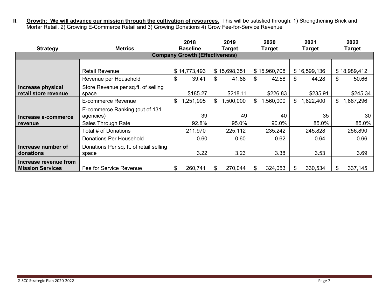**II. Growth: We will advance our mission through the cultivation of resources.** This will be satisfied through: 1) Strengthening Brick and Mortar Retail, 2) Growing E-Commerce Retail and 3) Growing Donations 4) Grow Fee-for-Service Revenue

|                                                  |                                                  | 2018            | 2019           | 2020            | 2021           | 2022           |  |
|--------------------------------------------------|--------------------------------------------------|-----------------|----------------|-----------------|----------------|----------------|--|
| <b>Strategy</b>                                  | <b>Metrics</b>                                   | <b>Baseline</b> | Target         | Target          | Target         | <b>Target</b>  |  |
|                                                  | <b>Company Growth (Effectiveness)</b>            |                 |                |                 |                |                |  |
|                                                  |                                                  |                 |                |                 |                |                |  |
|                                                  | <b>Retail Revenue</b>                            | \$14,773,493    | \$15,698,351   | \$15,960,708    | \$16,599,136   | \$18,989,412   |  |
|                                                  | Revenue per Household                            | 39.41<br>\$     | 41.88<br>\$    | 42.58<br>\$     | 44.28<br>\$    | 50.66<br>\$.   |  |
| Increase physical<br>retail store revenue        | Store Revenue per sq.ft. of selling<br>space     | \$185.27        | \$218.11       | \$226.83        | \$235.91       | \$245.34       |  |
| Increase e-commerce<br>revenue                   | E-commerce Revenue                               | ,251,995<br>\$  | ,500,000<br>\$ | 1,560,000<br>\$ | ,622,400<br>\$ | ,687,296<br>\$ |  |
|                                                  | E-commerce Ranking (out of 131<br>agencies)      | 39              | 49             | 40              | 35             | 30             |  |
|                                                  | Sales Through Rate                               | 92.8%           | 95.0%          | 90.0%           | 85.0%          | 85.0%          |  |
|                                                  | Total # of Donations                             | 211,970         | 225,112        | 235,242         | 245,828        | 256,890        |  |
|                                                  | Donations Per Household                          | 0.60            | 0.60           | 0.62            | 0.64           | 0.66           |  |
| Increase number of<br>donations                  | Donations Per sq. ft. of retail selling<br>space | 3.22            | 3.23           | 3.38            | 3.53           | 3.69           |  |
| Increase revenue from<br><b>Mission Services</b> | Fee for Service Revenue                          | 260,741<br>\$   | 270,044<br>S   | 324,053<br>\$   | 330,534<br>\$  | 337,145<br>\$. |  |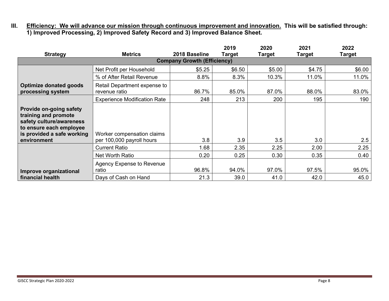**III. Efficiency: We will advance our mission through continuous improvement and innovation. This will be satisfied through: 1) Improved Processing, 2) Improved Safety Record and 3) Improved Balance Sheet.**

|                                                                                                                                      |                                               |               | 2019   | 2020   | 2021   | 2022   |
|--------------------------------------------------------------------------------------------------------------------------------------|-----------------------------------------------|---------------|--------|--------|--------|--------|
| <b>Strategy</b>                                                                                                                      | <b>Metrics</b>                                | 2018 Baseline | Target | Target | Target | Target |
| <b>Company Growth (Efficiency)</b>                                                                                                   |                                               |               |        |        |        |        |
|                                                                                                                                      | Net Profit per Household                      | \$5.25        | \$6.50 | \$5.00 | \$4.75 | \$6.00 |
|                                                                                                                                      | % of After Retail Revenue                     | 8.8%          | 8.3%   | 10.3%  | 11.0%  | 11.0%  |
| <b>Optimize donated goods</b><br>processing system                                                                                   | Retail Department expense to<br>revenue ratio | 86.7%         | 85.0%  | 87.0%  | 88.0%  | 83.0%  |
|                                                                                                                                      | <b>Experience Modification Rate</b>           | 248           | 213    | 200    | 195    | 190    |
| Provide on-going safety<br>training and promote<br>safety culture/awareness<br>to ensure each employee<br>is provided a safe working | Worker compensation claims                    |               |        |        |        |        |
| environment                                                                                                                          | per 100,000 payroll hours                     | 3.8           | 3.9    | 3.5    | 3.0    | 2.5    |
|                                                                                                                                      | <b>Current Ratio</b>                          | 1.68          | 2.35   | 2.25   | 2.00   | 2.25   |
|                                                                                                                                      | Net Worth Ratio                               | 0.20          | 0.25   | 0.30   | 0.35   | 0.40   |
| Improve organizational                                                                                                               | <b>Agency Expense to Revenue</b><br>ratio     | 96.8%         | 94.0%  | 97.0%  | 97.5%  | 95.0%  |
| financial health                                                                                                                     | Days of Cash on Hand                          | 21.3          | 39.0   | 41.0   | 42.0   | 45.0   |